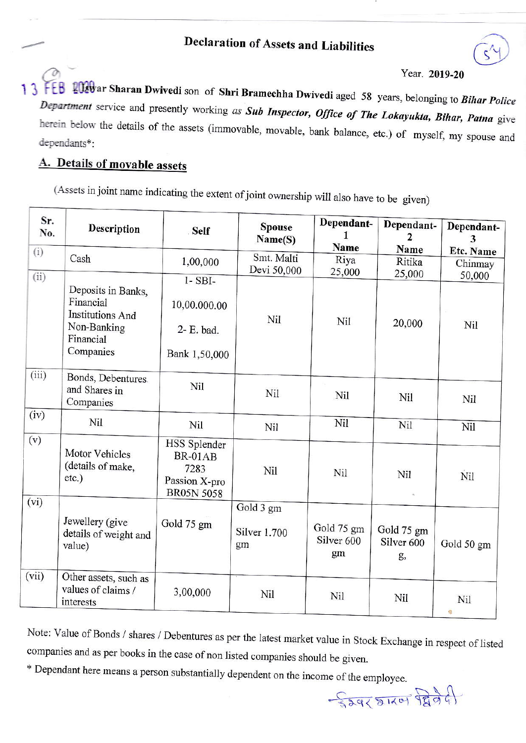## Year. 2019-20

2020 ar Sharan Dwivedi son of Shri Bramechha Dwivedi aged 58 years, belonging to Bihar Police Department service and presently working as Sub Inspector, Office of The Lokayukta, Bihar, Patna give herein below the details of the assets (immovable, movable, bank balance, etc.) of myself, my spouse and dependants\*:

## A. Details of movable assets

(Assets in joint name indicating the extent of joint ownership will also have to be given)

| Sr.<br>No. | <b>Description</b>                                                                                  | <b>Self</b>                                                           | <b>Spouse</b><br>Name(S)               | Dependant-<br>Name                        | Dependant-<br>2                           | Dependant-           |
|------------|-----------------------------------------------------------------------------------------------------|-----------------------------------------------------------------------|----------------------------------------|-------------------------------------------|-------------------------------------------|----------------------|
| (i)        | Cash                                                                                                | 1,00,000                                                              | Smt. Malti                             | Riya                                      | Name<br>Ritika                            | Etc. Name<br>Chinmay |
| (ii)       |                                                                                                     |                                                                       | Devi 50,000                            | 25,000                                    | 25,000                                    | 50,000               |
|            | Deposits in Banks,<br>Financial<br><b>Institutions And</b><br>Non-Banking<br>Financial<br>Companies | $1 - SBI -$<br>10,00.000.00<br>2- E. bad.<br>Bank 1,50,000            | Nil                                    | Nil                                       | 20,000                                    | Nil                  |
| (iii)      | Bonds, Debentures.<br>and Shares in<br>Companies                                                    | Nil                                                                   | Nil                                    | Nil                                       | <b>Nil</b>                                | Nil                  |
| (iv)       | Nil                                                                                                 | Nil                                                                   | Nil                                    | Nil                                       | Nil                                       | Nil                  |
| (v)        | Motor Vehicles<br>(details of make,<br>etc.)                                                        | HSS Splender<br>BR-01AB<br>7283<br>Passion X-pro<br><b>BR05N 5058</b> | Nil                                    | Nil                                       | Nil                                       | Nil                  |
| (vi)       | Jewellery (give<br>details of weight and<br>value)                                                  | Gold 75 gm                                                            | Gold 3 gm<br><b>Silver 1.700</b><br>gm | Gold 75 gm<br>Silver <sub>600</sub><br>gm | Gold 75 gm<br>Silver <sub>600</sub><br>g, | Gold 50 gm           |
| (vii)      | Other assets, such as<br>values of claims /<br>interests                                            | 3,00,000                                                              | Nil                                    | Nil                                       | Nil                                       | Nil<br>-3            |

Note: Value of Bonds / shares / Debentures as per the latest market value in Stock Exchange in respect of listed companies and as per books in the case of non listed companies should be given.

\* Dependant here means a person substantially dependent on the income of the employee.

 $-\frac{1}{329551101}$   $\frac{1}{9996}$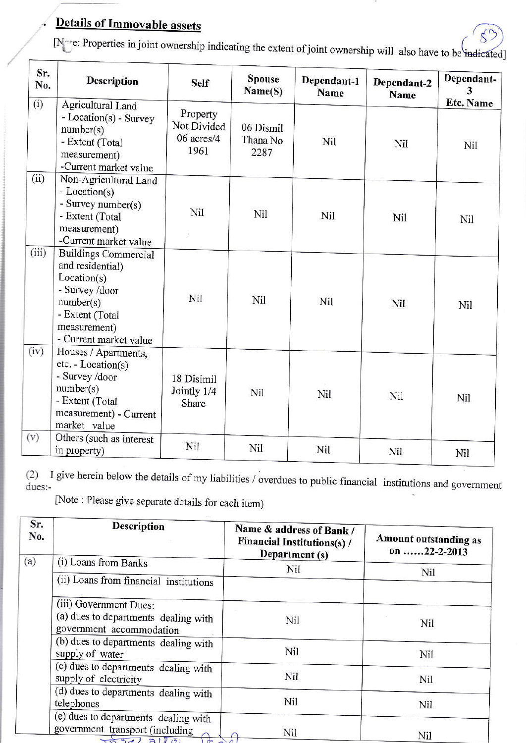## Details of Immovable assets

[N<sup>ot</sup>e: Properties in joint ownership indicating the extent of joint ownership will also have to be indicated]

| Sr.<br>No. | <b>Description</b>                                                                                                                                         | <b>Self</b>                                   | <b>Spouse</b><br>Name(S)      | Dependant-1<br>Name | Dependant-2<br>Name | Dependant-<br>3         |
|------------|------------------------------------------------------------------------------------------------------------------------------------------------------------|-----------------------------------------------|-------------------------------|---------------------|---------------------|-------------------------|
| (i)        | Agricultural Land<br>- Location(s) - Survey<br>number(s)<br>- Extent (Total<br>measurement)<br>-Current market value                                       | Property<br>Not Divided<br>06 acres/4<br>1961 | 06 Dismil<br>Thana No<br>2287 | Nil                 | Nil                 | <b>Etc. Name</b><br>Nil |
| (ii)       | Non-Agricultural Land<br>- Location(s)<br>- Survey number(s)<br>- Extent (Total<br>measurement)<br>-Current market value                                   | Nil                                           | Nil                           | Nil                 | Nil                 | Nil                     |
| (iii)      | <b>Buildings Commercial</b><br>and residential)<br>Location(s)<br>- Survey /door<br>number(s)<br>- Extent (Total<br>measurement)<br>- Current market value | Nil                                           | <b>Nil</b>                    | Nil                 | Nil                 | Nil                     |
| (iv)       | Houses / Apartments,<br>$etc. - Location(s)$<br>- Survey /door<br>number(s)<br>- Extent (Total<br>measurement) - Current<br>market value                   | 18 Disimil<br>Jointly 1/4<br>Share            | Nil                           | Nil                 | Nil                 | Nil                     |
| (v)        | Others (such as interest<br>in property)                                                                                                                   | Nil                                           | Nil                           | Nil                 | Nil                 | Nil                     |

(2) I give herein below the details of my liabilities / overdues to public financial institutions and government dues:-

lNote : Please give separate detaiis for each item)

| Sr.<br>No. | <b>Description</b>                                               | Name & address of Bank /<br><b>Financial Institutions(s)/</b><br>Department (s) | Amount outstanding as<br>on 22-2-2013 |
|------------|------------------------------------------------------------------|---------------------------------------------------------------------------------|---------------------------------------|
| (a)        | (i) Loans from Banks                                             | Nil                                                                             | Nil                                   |
|            | (ii) Loans from financial institutions                           |                                                                                 |                                       |
|            | (iii) Government Dues:                                           |                                                                                 |                                       |
|            | (a) dues to departments dealing with<br>government accommodation | Nil                                                                             | Nil                                   |
|            | (b) dues to departments dealing with<br>supply of water          | Nil                                                                             | Nil                                   |
|            | (c) dues to departments dealing with<br>supply of electricity    | Nil                                                                             | Nil                                   |
|            | (d) dues to departments dealing with<br>telephones               | Nil                                                                             | <b>Nil</b>                            |
|            | (e) dues to departments dealing with                             |                                                                                 |                                       |
|            | government transport (including<br>$-34231201$<br>$\sigma$       | Nil                                                                             | Nil                                   |